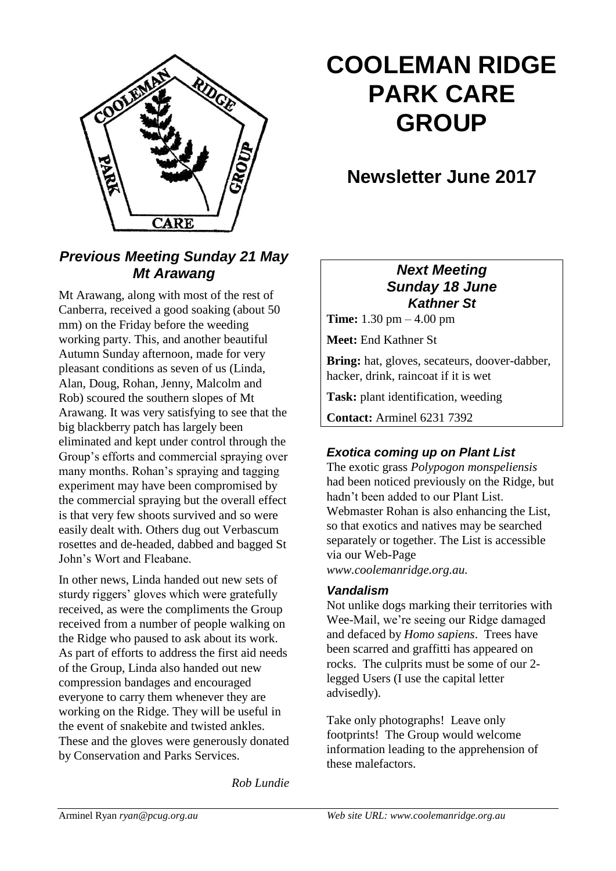

# **COOLEMAN RIDGE PARK CARE GROUP**

# **Newsletter June 2017**

## *Previous Meeting Sunday 21 May Mt Arawang*

Mt Arawang, along with most of the rest of Canberra, received a good soaking (about 50 mm) on the Friday before the weeding working party. This, and another beautiful Autumn Sunday afternoon, made for very pleasant conditions as seven of us (Linda, Alan, Doug, Rohan, Jenny, Malcolm and Rob) scoured the southern slopes of Mt Arawang. It was very satisfying to see that the big blackberry patch has largely been eliminated and kept under control through the Group's efforts and commercial spraying over many months. Rohan's spraying and tagging experiment may have been compromised by the commercial spraying but the overall effect is that very few shoots survived and so were easily dealt with. Others dug out Verbascum rosettes and de-headed, dabbed and bagged St John's Wort and Fleabane.

In other news, Linda handed out new sets of sturdy riggers' gloves which were gratefully received, as were the compliments the Group received from a number of people walking on the Ridge who paused to ask about its work. As part of efforts to address the first aid needs of the Group, Linda also handed out new compression bandages and encouraged everyone to carry them whenever they are working on the Ridge. They will be useful in the event of snakebite and twisted ankles. These and the gloves were generously donated by Conservation and Parks Services.

*Rob Lundie*

#### *Next Meeting Sunday 18 June Kathner St*

**Time:** 1.30 pm – 4.00 pm

**Meet:** End Kathner St

**Bring:** hat, gloves, secateurs, doover-dabber, hacker, drink, raincoat if it is wet

**Task:** plant identification, weeding

**Contact:** Arminel 6231 7392

#### *Exotica coming up on Plant List*

The exotic grass *Polypogon monspeliensis* had been noticed previously on the Ridge, but hadn't been added to our Plant List. Webmaster Rohan is also enhancing the List, so that exotics and natives may be searched separately or together. The List is accessible via our Web-Page *www.coolemanridge.org.au.*

#### *Vandalism*

Not unlike dogs marking their territories with Wee-Mail, we're seeing our Ridge damaged and defaced by *Homo sapiens*. Trees have been scarred and graffitti has appeared on rocks. The culprits must be some of our 2 legged Users (I use the capital letter advisedly).

Take only photographs! Leave only footprints! The Group would welcome information leading to the apprehension of these malefactors.